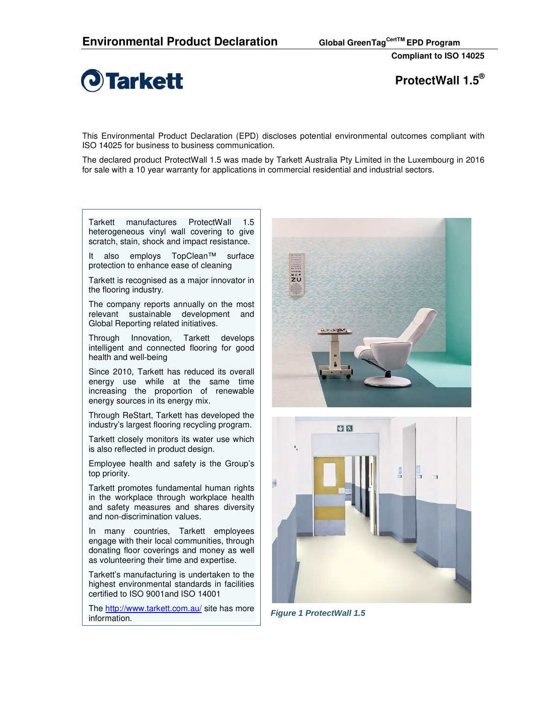

**ProtectWall 1.5®**

This Environmental Product Declaration (EPD) discloses potential environmental outcomes compliant with ISO 14025 for business to business communication.

The declared product ProtectWall 1.5 was made by Tarkett Australia Pty Limited in the Luxembourg in 2016 for sale with a 10 year warranty for applications in commercial residential and industrial sectors.

Tarkett manufactures ProtectWall 1.5 heterogeneous vinyl wall covering to give scratch, stain, shock and impact resistance.

It also employs TopClean™ surface protection to enhance ease of cleaning

Tarkett is recognised as a major innovator in the flooring industry.

The company reports annually on the most relevant sustainable development and Global Reporting related initiatives.

Through Innovation, Tarkett develops intelligent and connected flooring for good health and well-being

Since 2010, Tarkett has reduced its overall energy use while at the same time increasing the proportion of renewable energy sources in its energy mix.

Through ReStart, Tarkett has developed the industry's largest flooring recycling program.

Tarkett closely monitors its water use which is also reflected in product design.

Employee health and safety is the Group's top priority.

Tarkett promotes fundamental human rights in the workplace through workplace health and safety measures and shares diversity and non-discrimination values.

In many countries, Tarkett employees engage with their local communities, through donating floor coverings and money as well as volunteering their time and expertise.

Tarkett's manufacturing is undertaken to the highest environmental standards in facilities certified to ISO 9001and ISO 14001

The http://www.tarkett.com.au/ site has more information.





**Figure 1 ProtectWall 1.5**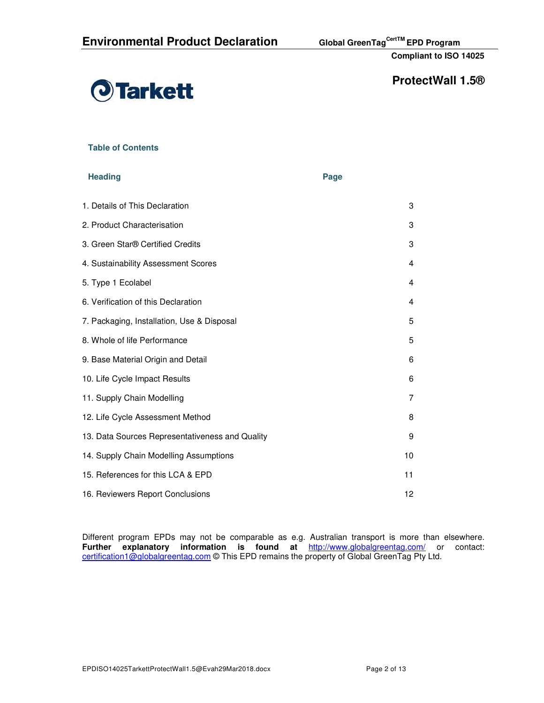

# **ProtectWall 1.5®**

## **Table of Contents**

#### **Heading Page 2018**

| 3  |  |
|----|--|
| 3  |  |
| 3  |  |
| 4  |  |
| 4  |  |
| 4  |  |
| 5  |  |
| 5  |  |
| 6  |  |
| 6  |  |
| 7  |  |
| 8  |  |
| 9  |  |
| 10 |  |
| 11 |  |
| 12 |  |
|    |  |

Different program EPDs may not be comparable as e.g. Australian transport is more than elsewhere. **Further explanatory information is found at** http://www.globalgreentag.com/ or contact: certification1@globalgreentag.com © This EPD remains the property of Global GreenTag Pty Ltd.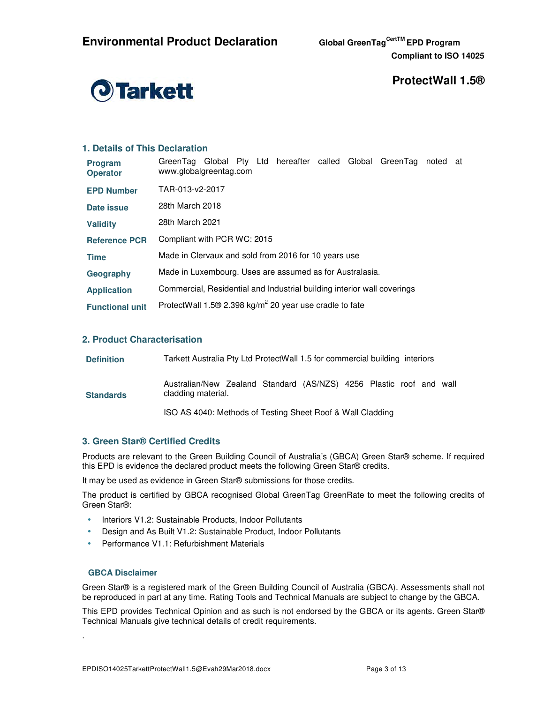

**ProtectWall 1.5®** 

#### **1. Details of This Declaration**  GreenTag Global Pty Ltd hereafter called Global GreenTag noted at

| <b>Program</b><br><b>Operator</b> | GreenTag Global Pty Ltd hereafter called Global GreenTag<br>noted a<br>www.globalgreentag.com |
|-----------------------------------|-----------------------------------------------------------------------------------------------|
| <b>EPD Number</b>                 | TAR-013-y2-2017                                                                               |
| Date issue                        | 28th March 2018                                                                               |
| <b>Validity</b>                   | 28th March 2021                                                                               |
| <b>Reference PCR</b>              | Compliant with PCR WC: 2015                                                                   |
| <b>Time</b>                       | Made in Clervaux and sold from 2016 for 10 years use                                          |
| Geography                         | Made in Luxembourg. Uses are assumed as for Australasia.                                      |
| <b>Application</b>                | Commercial, Residential and Industrial building interior wall coverings                       |
| <b>Functional unit</b>            | ProtectWall 1.5 $\Theta$ 2.398 kg/m <sup>2</sup> 20 year use cradle to fate                   |

### **2. Product Characterisation**

| <b>Definition</b> | Tarkett Australia Pty Ltd ProtectWall 1.5 for commercial building interiors               |  |  |  |  |  |  |  |  |  |  |
|-------------------|-------------------------------------------------------------------------------------------|--|--|--|--|--|--|--|--|--|--|
| <b>Standards</b>  | Australian/New Zealand Standard (AS/NZS) 4256 Plastic roof and wall<br>cladding material. |  |  |  |  |  |  |  |  |  |  |
|                   | ISO AS 4040: Methods of Testing Sheet Roof & Wall Cladding                                |  |  |  |  |  |  |  |  |  |  |

## **3. Green Star® Certified Credits**

Products are relevant to the Green Building Council of Australia's (GBCA) Green Star® scheme. If required this EPD is evidence the declared product meets the following Green Star® credits.

It may be used as evidence in Green Star® submissions for those credits.

The product is certified by GBCA recognised Global GreenTag GreenRate to meet the following credits of Green Star®:

- Interiors V1.2: Sustainable Products, Indoor Pollutants
- Design and As Built V1.2: Sustainable Product, Indoor Pollutants
- Performance V1.1: Refurbishment Materials

#### **GBCA Disclaimer**

.

Green Star® is a registered mark of the Green Building Council of Australia (GBCA). Assessments shall not be reproduced in part at any time. Rating Tools and Technical Manuals are subject to change by the GBCA.

This EPD provides Technical Opinion and as such is not endorsed by the GBCA or its agents. Green Star® Technical Manuals give technical details of credit requirements.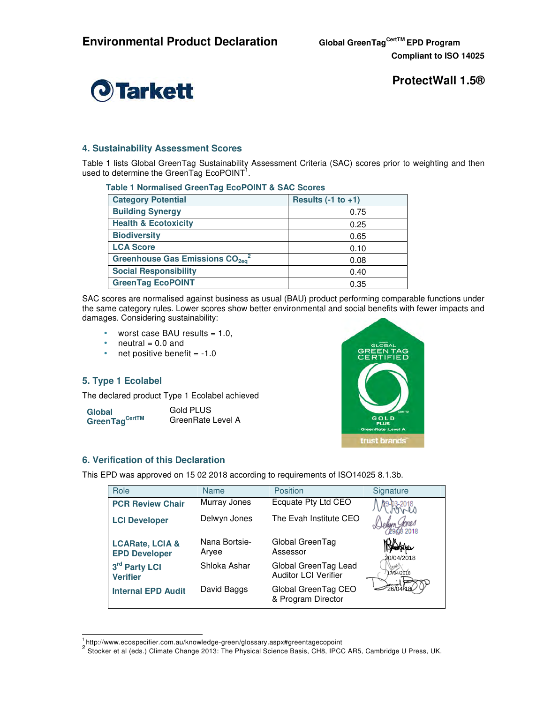

**ProtectWall 1.5®** 

## **4. Sustainability Assessment Scores**

Table 1 lists Global GreenTag Sustainability Assessment Criteria (SAC) scores prior to weighting and then used to determine the GreenTag EcoPOINT<sup>1</sup>.

| Table T Normalised Green ray Economy I & SAC Scores |                          |  |  |  |  |  |  |
|-----------------------------------------------------|--------------------------|--|--|--|--|--|--|
| <b>Category Potential</b>                           | Results $(-1)$ to $+1$ ) |  |  |  |  |  |  |
| <b>Building Synergy</b>                             | 0.75                     |  |  |  |  |  |  |
| <b>Health &amp; Ecotoxicity</b>                     | 0.25                     |  |  |  |  |  |  |
| <b>Biodiversity</b>                                 | 0.65                     |  |  |  |  |  |  |
| <b>LCA Score</b>                                    | 0.10                     |  |  |  |  |  |  |
| Greenhouse Gas Emissions $CO_{2ea}^2$               | 0.08                     |  |  |  |  |  |  |
| <b>Social Responsibility</b>                        | 0.40                     |  |  |  |  |  |  |
| <b>GreenTag EcoPOINT</b>                            | 0.35                     |  |  |  |  |  |  |

## **Table 1 Normalised GreenTag EcoPOINT & SAC Scores**

SAC scores are normalised against business as usual (BAU) product performing comparable functions under the same category rules. Lower scores show better environmental and social benefits with fewer impacts and damages. Considering sustainability:

- worst case BAU results  $= 1.0$ ,
- neutral  $= 0.0$  and
- net positive benefit  $= -1.0$

## **5. Type 1 Ecolabel**

The declared product Type 1 Ecolabel achieved

**Global GreenTag CertTM** 

Gold PLUS GreenRate Level A



#### **6. Verification of this Declaration**

This EPD was approved on 15 02 2018 according to requirements of ISO14025 8.1.3b.

| Role                                               | <b>Name</b>            | Position                                            | Signature  |
|----------------------------------------------------|------------------------|-----------------------------------------------------|------------|
| <b>PCR Review Chair</b>                            | Murray Jones           | Ecquate Pty Ltd CEO                                 |            |
| <b>LCI Developer</b>                               | Delwyn Jones           | The Evah Institute CEO                              |            |
| <b>LCARate, LCIA &amp;</b><br><b>EPD Developer</b> | Nana Bortsie-<br>Arvee | Global GreenTag<br>Assessor                         | 20/04/2018 |
| 3rd Party LCI<br><b>Verifier</b>                   | Shloka Ashar           | Global GreenTag Lead<br><b>Auditor LCI Verifier</b> | 17/04/2018 |
| <b>Internal EPD Audit</b>                          | David Baggs            | Global GreenTag CEO<br>& Program Director           |            |

 $\overline{a}$ <sup>1</sup>http://www.ecospecifier.com.au/knowledge-green/glossary.aspx#greentagecopoint

<sup>&</sup>lt;sup>2</sup> Stocker et al (eds.) Climate Change 2013: The Physical Science Basis, CH8, IPCC AR5, Cambridge U Press, UK.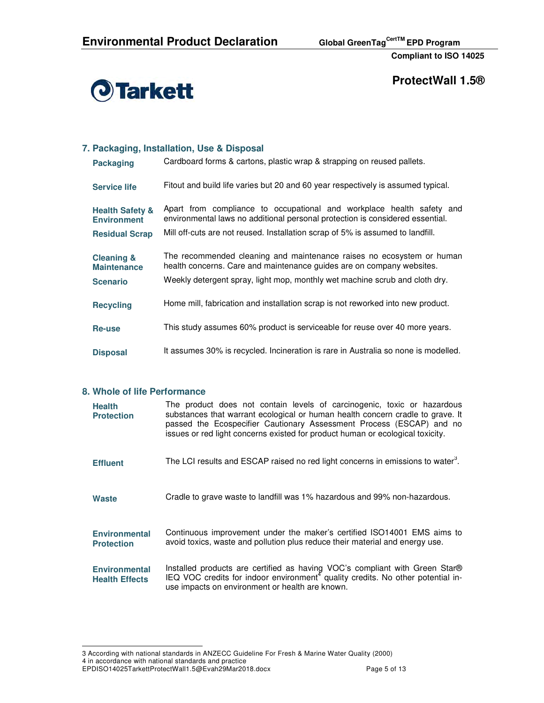

**ProtectWall 1.5®** 

## **7. Packaging, Installation, Use & Disposal**

| <b>Packaging</b>                                 | Cardboard forms & cartons, plastic wrap & strapping on reused pallets.                                                                                 |
|--------------------------------------------------|--------------------------------------------------------------------------------------------------------------------------------------------------------|
| <b>Service life</b>                              | Fitout and build life varies but 20 and 60 year respectively is assumed typical.                                                                       |
| <b>Health Safety &amp;</b><br><b>Environment</b> | Apart from compliance to occupational and workplace health safety and<br>environmental laws no additional personal protection is considered essential. |
| <b>Residual Scrap</b>                            | Mill off-cuts are not reused. Installation scrap of 5% is assumed to landfill.                                                                         |
| <b>Cleaning &amp;</b><br><b>Maintenance</b>      | The recommended cleaning and maintenance raises no ecosystem or human<br>health concerns. Care and maintenance guides are on company websites.         |
| <b>Scenario</b>                                  | Weekly detergent spray, light mop, monthly wet machine scrub and cloth dry.                                                                            |
| <b>Recycling</b>                                 | Home mill, fabrication and installation scrap is not reworked into new product.                                                                        |
| Re-use                                           | This study assumes 60% product is serviceable for reuse over 40 more years.                                                                            |
| <b>Disposal</b>                                  | It assumes 30% is recycled. Incineration is rare in Australia so none is modelled.                                                                     |

#### **8. Whole of life Performance**

| <b>Health</b><br><b>Protection</b>            | The product does not contain levels of carcinogenic, toxic or hazardous<br>substances that warrant ecological or human health concern cradle to grave. It<br>passed the Ecospecifier Cautionary Assessment Process (ESCAP) and no<br>issues or red light concerns existed for product human or ecological toxicity. |
|-----------------------------------------------|---------------------------------------------------------------------------------------------------------------------------------------------------------------------------------------------------------------------------------------------------------------------------------------------------------------------|
| <b>Effluent</b>                               | The LCI results and ESCAP raised no red light concerns in emissions to water <sup>3</sup> .                                                                                                                                                                                                                         |
| Waste                                         | Cradle to grave waste to landfill was 1% hazardous and 99% non-hazardous.                                                                                                                                                                                                                                           |
| <b>Environmental</b><br><b>Protection</b>     | Continuous improvement under the maker's certified ISO14001 EMS aims to<br>avoid toxics, waste and pollution plus reduce their material and energy use.                                                                                                                                                             |
| <b>Environmental</b><br><b>Health Effects</b> | Installed products are certified as having VOC's compliant with Green Star®<br>IEQ VOC credits for indoor environment <sup>4</sup> quality credits. No other potential in-<br>use impacts on environment or health are known.                                                                                       |

4 in accordance with national standards and practice

 $\overline{a}$ 3 According with national standards in ANZECC Guideline For Fresh & Marine Water Quality (2000)

EPDISO14025TarkettProtectWall1.5@Evah29Mar2018.docx Page 5 of 13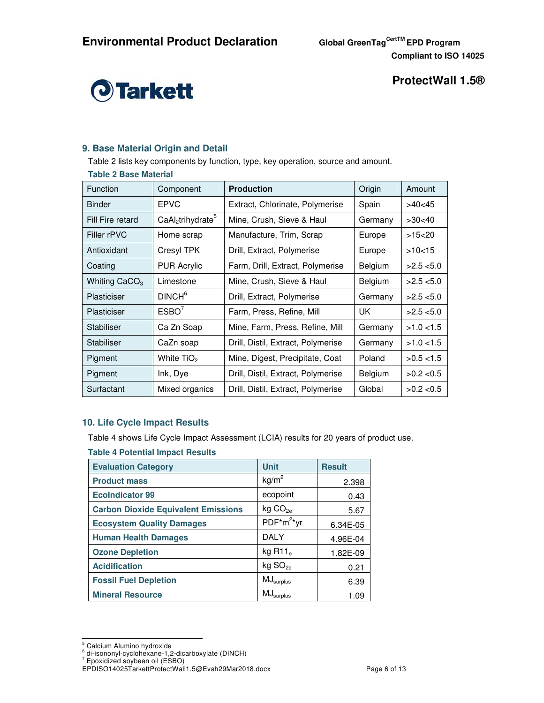

**ProtectWall 1.5®** 

## **9. Base Material Origin and Detail**

Table 2 lists key components by function, type, key operation, source and amount.

#### **Table 2 Base Material**

| Function         | Component                       | <b>Production</b>                  | Origin       | Amount       |  |
|------------------|---------------------------------|------------------------------------|--------------|--------------|--|
| <b>Binder</b>    | <b>EPVC</b>                     | Extract, Chlorinate, Polymerise    | Spain        | >40<45       |  |
| Fill Fire retard | $CaAl2$ trihydrate <sup>5</sup> | Mine, Crush, Sieve & Haul          | Germany      | >30<40       |  |
| Filler rPVC      | Home scrap                      | Manufacture, Trim, Scrap           | Europe       | >15<20       |  |
| Antioxidant      | Cresyl TPK                      | Drill, Extract, Polymerise         | Europe       | >10<15       |  |
| Coating          | <b>PUR Acrylic</b>              | Farm, Drill, Extract, Polymerise   | Belgium      | $>2.5$ < 5.0 |  |
| Whiting $CaCO3$  | Limestone                       | Mine, Crush, Sieve & Haul          | Belgium      | $>2.5$ < 5.0 |  |
| Plasticiser      | DINCH <sup>6</sup>              | Drill, Extract, Polymerise         | Germany      | >2.5 < 5.0   |  |
| Plasticiser      | ESBO'                           | Farm, Press, Refine, Mill          | UK           | >2.5 < 5.0   |  |
| Stabiliser       | Ca Zn Soap                      | Mine, Farm, Press, Refine, Mill    | Germany      | $>1.0$ < 1.5 |  |
| Stabiliser       | CaZn soap                       | Drill, Distil, Extract, Polymerise | Germany      | $>1.0$ < 1.5 |  |
| Pigment          | White TiO <sub>2</sub>          | Mine, Digest, Precipitate, Coat    | Poland       | $>0.5$ < 1.5 |  |
| Pigment          | Ink, Dye                        | Drill, Distil, Extract, Polymerise | Belgium      | $>0.2$ < 0.5 |  |
| Surfactant       | Mixed organics                  | Global                             | $>0.2$ < 0.5 |              |  |

## **10. Life Cycle Impact Results**

Table 4 shows Life Cycle Impact Assessment (LCIA) results for 20 years of product use.

| <b>Evaluation Category</b>                 | <b>Unit</b>           | <b>Result</b> |
|--------------------------------------------|-----------------------|---------------|
| <b>Product mass</b>                        | kg/m <sup>2</sup>     | 2.398         |
| <b>EcoIndicator 99</b>                     | ecopoint              | 0.43          |
| <b>Carbon Dioxide Equivalent Emissions</b> | kg CO <sub>2e</sub>   | 5.67          |
| <b>Ecosystem Quality Damages</b>           | $PDF^*m^{2*}vr$       | 6.34E-05      |
| <b>Human Health Damages</b>                | <b>DALY</b>           | 4.96E-04      |
| <b>Ozone Depletion</b>                     | kg R11 $_e$           | 1.82E-09      |
| <b>Acidification</b>                       | kg SO <sub>2e</sub>   | 0.21          |
| <b>Fossil Fuel Depletion</b>               | $MJ_{\sf surplus}$    | 6.39          |
| <b>Mineral Resource</b>                    | $MJ_{\text{surplus}}$ | 1.09          |

<sup>&</sup>lt;sub>5</sub><br><sup>5</sup> Calcium Alumino hydroxide

<sup>6</sup> di-isononyl-cyclohexane-1,2-dicarboxylate (DINCH)

<sup>7</sup> Epoxidized soybean oil (ESBO)

EPDISO14025TarkettProtectWall1.5@Evah29Mar2018.docx Page 6 of 13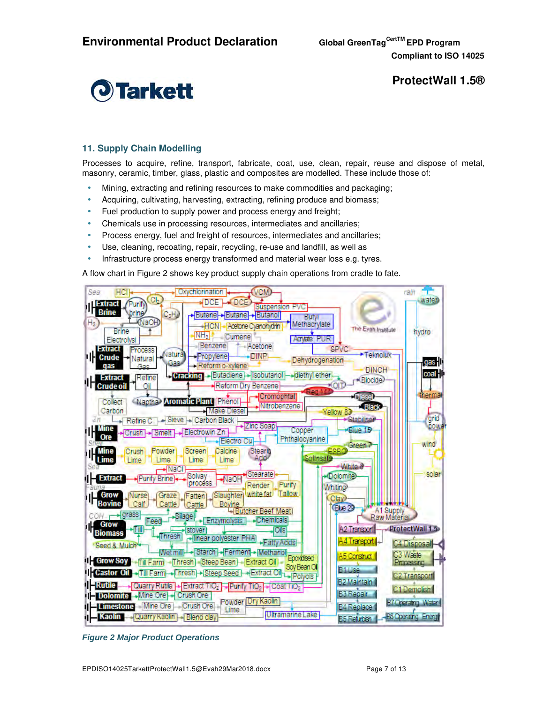

**ProtectWall 1.5®** 

## **11. Supply Chain Modelling**

Processes to acquire, refine, transport, fabricate, coat, use, clean, repair, reuse and dispose of metal, masonry, ceramic, timber, glass, plastic and composites are modelled. These include those of:

- Mining, extracting and refining resources to make commodities and packaging;
- Acquiring, cultivating, harvesting, extracting, refining produce and biomass;
- Fuel production to supply power and process energy and freight;
- Chemicals use in processing resources, intermediates and ancillaries;
- Process energy, fuel and freight of resources, intermediates and ancillaries;
- Use, cleaning, recoating, repair, recycling, re-use and landfill, as well as
- Infrastructure process energy transformed and material wear loss e.g. tyres.

A flow chart in Figure 2 shows key product supply chain operations from cradle to fate.



**Figure 2 Major Product Operations**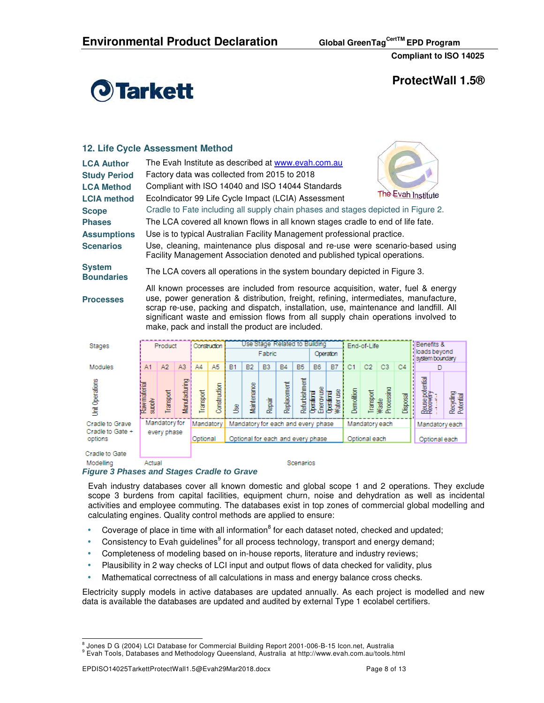

**ProtectWall 1.5®** 

## **12. Life Cycle Assessment Method**

| <b>LCA Author</b>                  | The Evah Institute as described at www.evah.com.au                                                                                                         |                    |
|------------------------------------|------------------------------------------------------------------------------------------------------------------------------------------------------------|--------------------|
| <b>Study Period</b>                | Factory data was collected from 2015 to 2018                                                                                                               |                    |
| <b>LCA Method</b>                  | Compliant with ISO 14040 and ISO 14044 Standards                                                                                                           |                    |
| <b>LCIA method</b>                 | EcoIndicator 99 Life Cycle Impact (LCIA) Assessment                                                                                                        | The Evah Institute |
| <b>Scope</b>                       | Cradle to Fate including all supply chain phases and stages depicted in Figure 2.                                                                          |                    |
| <b>Phases</b>                      | The LCA covered all known flows in all known stages cradle to end of life fate.                                                                            |                    |
| <b>Assumptions</b>                 | Use is to typical Australian Facility Management professional practice.                                                                                    |                    |
| <b>Scenarios</b>                   | Use, cleaning, maintenance plus disposal and re-use were scenario-based using<br>Facility Management Association denoted and published typical operations. |                    |
| <b>System</b><br><b>Boundaries</b> | The LCA covers all operations in the system boundary depicted in Figure 3.                                                                                 |                    |
|                                    |                                                                                                                                                            |                    |

**Processes** 

All known processes are included from resource acquisition, water, fuel & energy use, power generation & distribution, freight, refining, intermediates, manufacture, scrap re-use, packing and dispatch, installation, use, maintenance and landfill. All significant waste and emission flows from all supply chain operations involved to make, pack and install the product are included.

| Stages                      |                        | Product       |                      | Use Stage Related to Building<br>Construction<br>End-of-Life |              |                                                      |             |                                   |             |               |                          |                          |                |               | Benefits &                      |                |                                  |                |                        |  |  |
|-----------------------------|------------------------|---------------|----------------------|--------------------------------------------------------------|--------------|------------------------------------------------------|-------------|-----------------------------------|-------------|---------------|--------------------------|--------------------------|----------------|---------------|---------------------------------|----------------|----------------------------------|----------------|------------------------|--|--|
|                             |                        |               |                      |                                                              |              | Fabric<br>Operation                                  |             |                                   |             |               |                          |                          |                |               | loads beyond<br>system boundary |                |                                  |                |                        |  |  |
| Modules                     | A <sub>1</sub>         | A2            | A3                   | AA                                                           | A5           | <b>B1</b>                                            | <b>B2</b>   | B <sub>3</sub>                    | <b>B4</b>   | <b>B5</b>     | <b>B6</b>                | <b>B7</b>                | C <sub>1</sub> | C2            | C3                              | C <sub>4</sub> |                                  |                |                        |  |  |
| Unit Operations             | Raw material<br>supply | Transport     | <b>Manufacturing</b> | Transport                                                    | Construction | 鸟                                                    | Maintenance | Repair                            | Replacement | Refurbishment | Energyuse<br>Cperatorial | Operatorral<br>Water use | Demolition     | Transport     | waste<br>Processing             | Disposal       | Reuse potential<br>Recovery<br>ļ |                | Recycling<br>Potential |  |  |
| Cradle to Grave             |                        | Mandatory for |                      | Mandatory                                                    |              | Mandatory for each and every phase<br>Mandatory each |             |                                   |             |               |                          |                          |                |               |                                 |                |                                  | Mandatory each |                        |  |  |
| Cradle to Gate +<br>options |                        | every phase   |                      | Optional                                                     |              |                                                      |             | Optional for each and every phase |             |               |                          |                          |                | Optional each |                                 |                |                                  | Optional each  |                        |  |  |
| Cradle to Gate              |                        |               |                      |                                                              |              |                                                      |             |                                   |             |               |                          |                          |                |               |                                 |                |                                  |                |                        |  |  |
| Modelling                   | Actual                 |               |                      | Scenarios                                                    |              |                                                      |             |                                   |             |               |                          |                          |                |               |                                 |                |                                  |                |                        |  |  |

#### **Figure 3 Phases and Stages Cradle to Grave**

Evah industry databases cover all known domestic and global scope 1 and 2 operations. They exclude scope 3 burdens from capital facilities, equipment churn, noise and dehydration as well as incidental activities and employee commuting. The databases exist in top zones of commercial global modelling and calculating engines. Quality control methods are applied to ensure:

- Coverage of place in time with all information $^8$  for each dataset noted, checked and updated;
- Consistency to Evah guidelines $9$  for all process technology, transport and energy demand;
- Completeness of modeling based on in-house reports, literature and industry reviews;
- Plausibility in 2 way checks of LCI input and output flows of data checked for validity, plus
- Mathematical correctness of all calculations in mass and energy balance cross checks.

Electricity supply models in active databases are updated annually. As each project is modelled and new data is available the databases are updated and audited by external Type 1 ecolabel certifiers.

 8 Jones D G (2004) LCI Database for Commercial Building Report 2001-006-B-15 Icon.net, Australia

<sup>&</sup>lt;sup>9</sup> Evah Tools, Databases and Methodology Queensland, Australia at http://www.evah.com.au/tools.html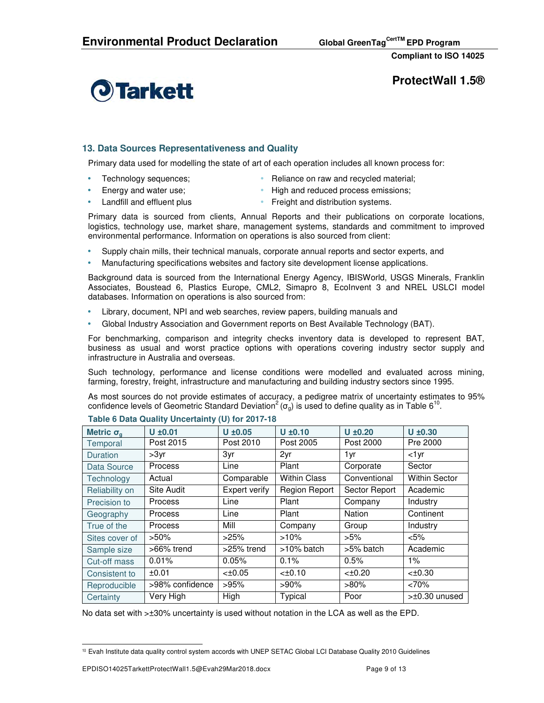

**ProtectWall 1.5®** 

## **13. Data Sources Representativeness and Quality**

Primary data used for modelling the state of art of each operation includes all known process for:

- 
- Technology sequences; • Reliance on raw and recycled material;
- 
- Energy and water use; High and reduced process emissions;
- 
- Landfill and effluent plus **•** Freight and distribution systems.

Primary data is sourced from clients, Annual Reports and their publications on corporate locations, logistics, technology use, market share, management systems, standards and commitment to improved environmental performance. Information on operations is also sourced from client:

- Supply chain mills, their technical manuals, corporate annual reports and sector experts, and
- Manufacturing specifications websites and factory site development license applications.

Background data is sourced from the International Energy Agency, IBISWorld, USGS Minerals, Franklin Associates, Boustead 6, Plastics Europe, CML2, Simapro 8, EcoInvent 3 and NREL USLCI model databases. Information on operations is also sourced from:

- Library, document, NPI and web searches, review papers, building manuals and
- Global Industry Association and Government reports on Best Available Technology (BAT).

For benchmarking, comparison and integrity checks inventory data is developed to represent BAT, business as usual and worst practice options with operations covering industry sector supply and infrastructure in Australia and overseas.

Such technology, performance and license conditions were modelled and evaluated across mining, farming, forestry, freight, infrastructure and manufacturing and building industry sectors since 1995.

As most sources do not provide estimates of accuracy, a pedigree matrix of uncertainty estimates to 95% confidence levels of Geometric Standard Deviation<sup>2</sup> ( $\sigma_g$ ) is used to define quality as in Table 6<sup>10</sup>.

| Metric $\sigma_{\alpha}$ | $U \pm 0.01$    | $U \pm 0.05$  | $U \pm 0.10$        | $U \pm 0.20$  | $U \pm 0.30$         |
|--------------------------|-----------------|---------------|---------------------|---------------|----------------------|
| Temporal                 | Post 2015       | Post 2010     | Post 2005           | Post 2000     | Pre 2000             |
| <b>Duration</b>          | $>3$ yr         | 3yr           | 2yr                 | 1 yr          | <1yr                 |
| Data Source              | <b>Process</b>  | Line          | Plant               | Corporate     | Sector               |
| Technology               | Actual          | Comparable    | <b>Within Class</b> | Conventional  | <b>Within Sector</b> |
| Reliability on           | Site Audit      | Expert verify | Region Report       | Sector Report | Academic             |
| Precision to             | Process         | Line          | Plant               | Company       | Industry             |
| Geography                | <b>Process</b>  | Line          | Plant               | Nation        | Continent            |
| True of the              | Process         | Mill          | Company             | Group         | Industry             |
| Sites cover of           | $>50\%$         | >25%          | $>10\%$             | $>5\%$        | $< 5\%$              |
| Sample size              | $>66\%$ trend   | $>25\%$ trend | $>10\%$ batch       | >5% batch     | Academic             |
| Cut-off mass             | 0.01%           | 0.05%         | 0.1%                | 0.5%          | $1\%$                |
| Consistent to            | ±0.01           | $<\pm 0.05$   | $<\pm 0.10$         | $<\pm 0.20$   | $<\pm 0.30$          |
| Reproducible             | >98% confidence | >95%          | $>90\%$             | $>80\%$       | <70%                 |
| Certainty                | Very High       | High          | Typical             | Poor          | >±0.30 unused        |

#### **Table 6 Data Quality Uncertainty (U) for 2017-18**

No data set with >±30% uncertainty is used without notation in the LCA as well as the EPD.

 $\overline{a}$ <sup>10</sup> Evah Institute data quality control system accords with UNEP SETAC Global LCI Database Quality 2010 Guidelines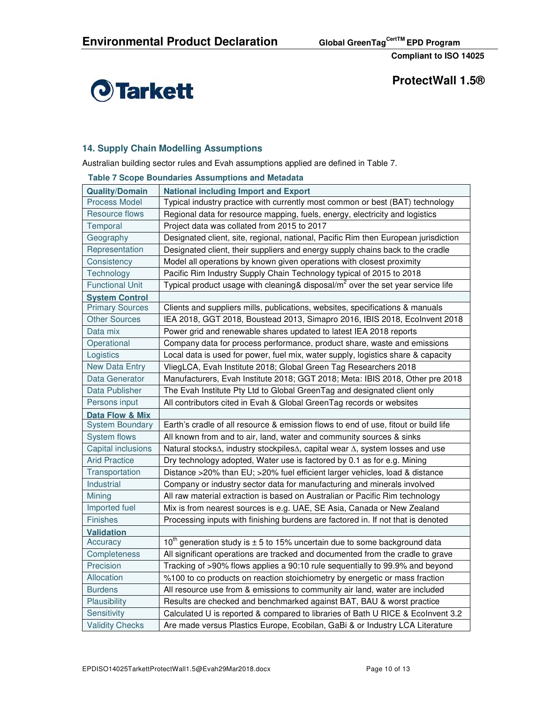

**ProtectWall 1.5®** 

## **14. Supply Chain Modelling Assumptions**

Australian building sector rules and Evah assumptions applied are defined in Table 7.

|                            | <b>Table 7 Scope Boundaries Assumptions and Metadata</b>                            |  |  |  |
|----------------------------|-------------------------------------------------------------------------------------|--|--|--|
| <b>Quality/Domain</b>      | <b>National including Import and Export</b>                                         |  |  |  |
| <b>Process Model</b>       | Typical industry practice with currently most common or best (BAT) technology       |  |  |  |
| Resource flows             | Regional data for resource mapping, fuels, energy, electricity and logistics        |  |  |  |
| Temporal                   | Project data was collated from 2015 to 2017                                         |  |  |  |
| Geography                  | Designated client, site, regional, national, Pacific Rim then European jurisdiction |  |  |  |
| Representation             | Designated client, their suppliers and energy supply chains back to the cradle      |  |  |  |
| Consistency                | Model all operations by known given operations with closest proximity               |  |  |  |
| Technology                 | Pacific Rim Industry Supply Chain Technology typical of 2015 to 2018                |  |  |  |
| <b>Functional Unit</b>     | Typical product usage with cleaning & disposal/ $m2$ over the set year service life |  |  |  |
| <b>System Control</b>      |                                                                                     |  |  |  |
| <b>Primary Sources</b>     | Clients and suppliers mills, publications, websites, specifications & manuals       |  |  |  |
| <b>Other Sources</b>       | IEA 2018, GGT 2018, Boustead 2013, Simapro 2016, IBIS 2018, Ecolnvent 2018          |  |  |  |
| Data mix                   | Power grid and renewable shares updated to latest IEA 2018 reports                  |  |  |  |
| Operational                | Company data for process performance, product share, waste and emissions            |  |  |  |
| Logistics                  | Local data is used for power, fuel mix, water supply, logistics share & capacity    |  |  |  |
| <b>New Data Entry</b>      | VliegLCA, Evah Institute 2018; Global Green Tag Researchers 2018                    |  |  |  |
| Data Generator             | Manufacturers, Evah Institute 2018; GGT 2018; Meta: IBIS 2018, Other pre 2018       |  |  |  |
| Data Publisher             | The Evah Institute Pty Ltd to Global GreenTag and designated client only            |  |  |  |
| Persons input              | All contributors cited in Evah & Global GreenTag records or websites                |  |  |  |
| <b>Data Flow &amp; Mix</b> |                                                                                     |  |  |  |
| <b>System Boundary</b>     | Earth's cradle of all resource & emission flows to end of use, fitout or build life |  |  |  |
| System flows               | All known from and to air, land, water and community sources & sinks                |  |  |  |
| Capital inclusions         | Natural stocks∆, industry stockpiles∆, capital wear ∆, system losses and use        |  |  |  |
| <b>Arid Practice</b>       | Dry technology adopted, Water use is factored by 0.1 as for e.g. Mining             |  |  |  |
| Transportation             | Distance >20% than EU; >20% fuel efficient larger vehicles, load & distance         |  |  |  |
| Industrial                 | Company or industry sector data for manufacturing and minerals involved             |  |  |  |
| Mining                     | All raw material extraction is based on Australian or Pacific Rim technology        |  |  |  |
| Imported fuel              | Mix is from nearest sources is e.g. UAE, SE Asia, Canada or New Zealand             |  |  |  |
| <b>Finishes</b>            | Processing inputs with finishing burdens are factored in. If not that is denoted    |  |  |  |
| <b>Validation</b>          |                                                                                     |  |  |  |
| Accuracy                   | $10th$ generation study is $\pm$ 5 to 15% uncertain due to some background data     |  |  |  |
| Completeness               | All significant operations are tracked and documented from the cradle to grave      |  |  |  |
| Precision                  | Tracking of >90% flows applies a 90:10 rule sequentially to 99.9% and beyond        |  |  |  |
| Allocation                 | %100 to co products on reaction stoichiometry by energetic or mass fraction         |  |  |  |
| <b>Burdens</b>             | All resource use from & emissions to community air land, water are included         |  |  |  |
| Plausibility               | Results are checked and benchmarked against BAT, BAU & worst practice               |  |  |  |
| Sensitivity                | Calculated U is reported & compared to libraries of Bath U RICE & Ecolnvent 3.2     |  |  |  |
| <b>Validity Checks</b>     | Are made versus Plastics Europe, Ecobilan, GaBi & or Industry LCA Literature        |  |  |  |

## **Table 7 Scope Boundaries Assumptions and Metadata**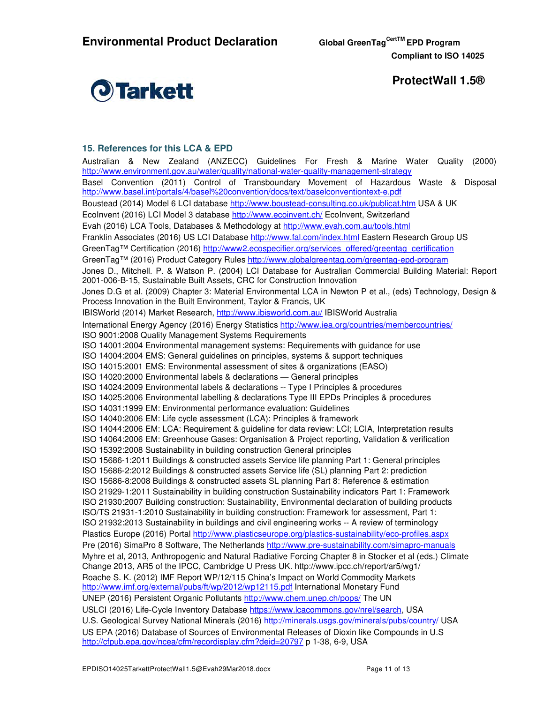

**ProtectWall 1.5®** 

## **15. References for this LCA & EPD**

Australian & New Zealand (ANZECC) Guidelines For Fresh & Marine Water Quality (2000) http://www.environment.gov.au/water/quality/national-water-quality-management-strategy Basel Convention (2011) Control of Transboundary Movement of Hazardous Waste & Disposal http://www.basel.int/portals/4/basel%20convention/docs/text/baselconventiontext-e.pdf Boustead (2014) Model 6 LCI database http://www.boustead-consulting.co.uk/publicat.htm USA & UK EcoInvent (2016) LCI Model 3 database http://www.ecoinvent.ch/ EcoInvent, Switzerland Evah (2016) LCA Tools, Databases & Methodology at http://www.evah.com.au/tools.html Franklin Associates (2016) US LCI Database http://www.fal.com/index.html Eastern Research Group US GreenTag™ Certification (2016) http://www2.ecospecifier.org/services\_offered/greentag\_certification GreenTag™ (2016) Product Category Rules http://www.globalgreentag.com/greentag-epd-program Jones D., Mitchell. P. & Watson P. (2004) LCI Database for Australian Commercial Building Material: Report 2001-006-B-15, Sustainable Built Assets, CRC for Construction Innovation Jones D.G et al. (2009) Chapter 3: Material Environmental LCA in Newton P et al., (eds) Technology, Design & Process Innovation in the Built Environment, Taylor & Francis, UK IBISWorld (2014) Market Research, http://www.ibisworld.com.au/ IBISWorld Australia International Energy Agency (2016) Energy Statistics http://www.iea.org/countries/membercountries/ ISO 9001:2008 Quality Management Systems Requirements ISO 14001:2004 Environmental management systems: Requirements with guidance for use ISO 14004:2004 EMS: General guidelines on principles, systems & support techniques ISO 14015:2001 EMS: Environmental assessment of sites & organizations (EASO) ISO 14020:2000 Environmental labels & declarations — General principles ISO 14024:2009 Environmental labels & declarations -- Type I Principles & procedures ISO 14025:2006 Environmental labelling & declarations Type III EPDs Principles & procedures ISO 14031:1999 EM: Environmental performance evaluation: Guidelines ISO 14040:2006 EM: Life cycle assessment (LCA): Principles & framework ISO 14044:2006 EM: LCA: Requirement & guideline for data review: LCI; LCIA, Interpretation results ISO 14064:2006 EM: Greenhouse Gases: Organisation & Project reporting, Validation & verification ISO 15392:2008 Sustainability in building construction General principles ISO 15686-1:2011 Buildings & constructed assets Service life planning Part 1: General principles ISO 15686-2:2012 Buildings & constructed assets Service life (SL) planning Part 2: prediction ISO 15686-8:2008 Buildings & constructed assets SL planning Part 8: Reference & estimation ISO 21929-1:2011 Sustainability in building construction Sustainability indicators Part 1: Framework ISO 21930:2007 Building construction: Sustainability, Environmental declaration of building products ISO/TS 21931-1:2010 Sustainability in building construction: Framework for assessment, Part 1: ISO 21932:2013 Sustainability in buildings and civil engineering works -- A review of terminology Plastics Europe (2016) Portal http://www.plasticseurope.org/plastics-sustainability/eco-profiles.aspx Pre (2016) SimaPro 8 Software, The Netherlands http://www.pre-sustainability.com/simapro-manuals Myhre et al, 2013, Anthropogenic and Natural Radiative Forcing Chapter 8 in Stocker et al (eds.) Climate Change 2013, AR5 of the IPCC, Cambridge U Press UK. http://www.ipcc.ch/report/ar5/wg1/ Roache S. K. (2012) IMF Report WP/12/115 China's Impact on World Commodity Markets http://www.imf.org/external/pubs/ft/wp/2012/wp12115.pdf International Monetary Fund UNEP (2016) Persistent Organic Pollutants http://www.chem.unep.ch/pops/ The UN USLCI (2016) Life-Cycle Inventory Database https://www.lcacommons.gov/nrel/search, USA U.S. Geological Survey National Minerals (2016) http://minerals.usgs.gov/minerals/pubs/country/ USA US EPA (2016) Database of Sources of Environmental Releases of Dioxin like Compounds in U.S http://cfpub.epa.gov/ncea/cfm/recordisplay.cfm?deid=20797 p 1-38, 6-9, USA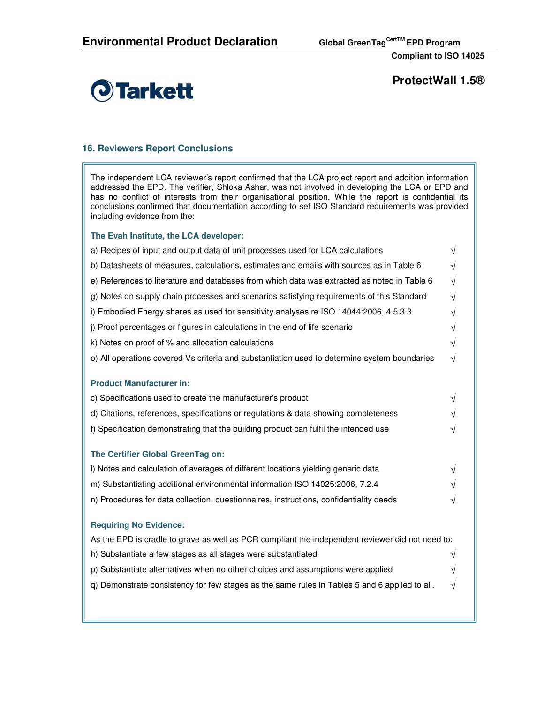

**ProtectWall 1.5®** 

## **16. Reviewers Report Conclusions**

The independent LCA reviewer's report confirmed that the LCA project report and addition information addressed the EPD. The verifier, Shloka Ashar, was not involved in developing the LCA or EPD and has no conflict of interests from their organisational position. While the report is confidential its conclusions confirmed that documentation according to set ISO Standard requirements was provided including evidence from the:

### **The Evah Institute, the LCA developer:**

| a) Recipes of input and output data of unit processes used for LCA calculations                  |           |  |  |  |  |
|--------------------------------------------------------------------------------------------------|-----------|--|--|--|--|
| b) Datasheets of measures, calculations, estimates and emails with sources as in Table 6         |           |  |  |  |  |
| e) References to literature and databases from which data was extracted as noted in Table 6      |           |  |  |  |  |
| g) Notes on supply chain processes and scenarios satisfying requirements of this Standard        |           |  |  |  |  |
| i) Embodied Energy shares as used for sensitivity analyses re ISO 14044:2006, 4.5.3.3            | ٦I        |  |  |  |  |
| j) Proof percentages or figures in calculations in the end of life scenario                      |           |  |  |  |  |
| k) Notes on proof of % and allocation calculations                                               | V         |  |  |  |  |
| o) All operations covered Vs criteria and substantiation used to determine system boundaries     | $\sqrt{}$ |  |  |  |  |
|                                                                                                  |           |  |  |  |  |
| <b>Product Manufacturer in:</b>                                                                  |           |  |  |  |  |
| c) Specifications used to create the manufacturer's product                                      | V         |  |  |  |  |
| d) Citations, references, specifications or regulations & data showing completeness              | V         |  |  |  |  |
| f) Specification demonstrating that the building product can fulfil the intended use             | V         |  |  |  |  |
| The Certifier Global GreenTag on:                                                                |           |  |  |  |  |
| I) Notes and calculation of averages of different locations yielding generic data                | V         |  |  |  |  |
| m) Substantiating additional environmental information ISO 14025:2006, 7.2.4                     | V         |  |  |  |  |
| n) Procedures for data collection, questionnaires, instructions, confidentiality deeds           |           |  |  |  |  |
| <b>Requiring No Evidence:</b>                                                                    |           |  |  |  |  |
| As the EPD is cradle to grave as well as PCR compliant the independent reviewer did not need to: |           |  |  |  |  |
| h) Substantiate a few stages as all stages were substantiated                                    | V         |  |  |  |  |
| p) Substantiate alternatives when no other choices and assumptions were applied                  |           |  |  |  |  |
| q) Demonstrate consistency for few stages as the same rules in Tables 5 and 6 applied to all.    |           |  |  |  |  |